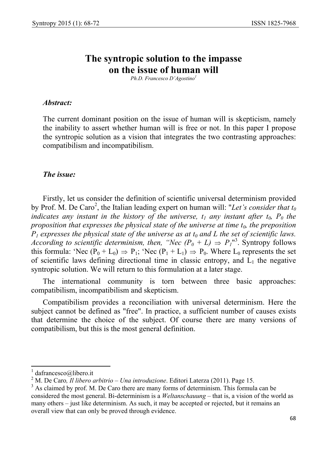# **The syntropic solution to the impasse on the issue of human will**

*Ph.D. Francesco D'Agostino<sup>1</sup>*

### *Abstract:*

The current dominant position on the issue of human will is skepticism, namely the inability to assert whether human will is free or not. In this paper I propose the syntropic solution as a vision that integrates the two contrasting approaches: compatibilism and incompatibilism.

#### *The issue:*

Firstly, let us consider the definition of scientific universal determinism provided by Prof. M. De Caro<sup>2</sup>, the Italian leading expert on human will: "Let's consider that  $t_0$ *indicates any instant in the history of the universe,*  $t_1$  *any instant after*  $t_0$ *,*  $P_0$  *the proposition that expresses the physical state of the universe at time*  $t_0$ *, the preposition*  $P_1$  expresses the physical state of the universe as at  $t_0$  and  $L$  the set of scientific laws. *According to scientific determinism, then, "Nec*  $(P_0 + L) \Rightarrow P_1^{\prime\prime}$ *".* Syntropy follows this formula: 'Nec  $(P_0 + L_0) \Rightarrow P_1$ ; 'Nec  $(P_1 + L_1) \Rightarrow P_0$ . Where  $L_0$  represents the set of scientific laws defining directional time in classic entropy, and  $\tilde{L}_1$  the negative syntropic solution. We will return to this formulation at a later stage.

The international community is torn between three basic approaches: compatibilism, incompatibilism and skepticism.

Compatibilism provides a reconciliation with universal determinism. Here the subject cannot be defined as "free". In practice, a sufficient number of causes exists that determine the choice of the subject. Of course there are many versions of compatibilism, but this is the most general definition.

 $\overline{a}$ 

<sup>1</sup> dafrancesco@libero.it

<sup>2</sup> M. De Caro*, Il libero arbitrio – Una introduzione*. Editori Laterza (2011). Page 15.

<sup>&</sup>lt;sup>3</sup> As claimed by prof. M. De Caro there are many forms of determinism. This formula can be considered the most general. Bi-determinism is a *Weltanschauung* – that is, a vision of the world as many others – just like determinism. As such, it may be accepted or rejected, but it remains an overall view that can only be proved through evidence.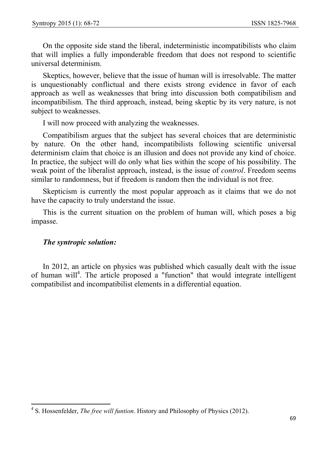On the opposite side stand the liberal, indeterministic incompatibilists who claim that will implies a fully imponderable freedom that does not respond to scientific universal determinism.

Skeptics, however, believe that the issue of human will is irresolvable. The matter is unquestionably conflictual and there exists strong evidence in favor of each approach as well as weaknesses that bring into discussion both compatibilism and incompatibilism. The third approach, instead, being skeptic by its very nature, is not subject to weaknesses.

I will now proceed with analyzing the weaknesses.

Compatibilism argues that the subject has several choices that are deterministic by nature. On the other hand, incompatibilists following scientific universal determinism claim that choice is an illusion and does not provide any kind of choice. In practice, the subject will do only what lies within the scope of his possibility. The weak point of the liberalist approach, instead, is the issue of *control*. Freedom seems similar to randomness, but if freedom is random then the individual is not free.

Skepticism is currently the most popular approach as it claims that we do not have the capacity to truly understand the issue.

This is the current situation on the problem of human will, which poses a big impasse.

## *The syntropic solution:*

In 2012, an article on physics was published which casually dealt with the issue of human will<sup>4</sup>. The article proposed a "function" that would integrate intelligent compatibilist and incompatibilist elements in a differential equation.

 4 S. Hossenfelder, *The free will funtion*. History and Philosophy of Physics (2012).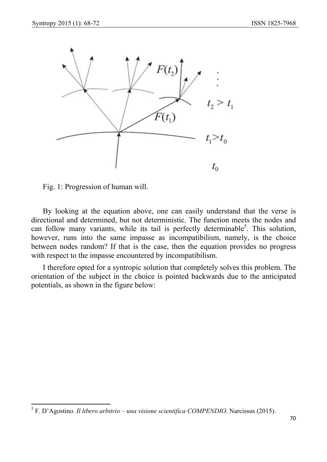

Fig. 1: Progression of human will.

By looking at the equation above, one can easily understand that the verse is directional and determined, but not deterministic. The function meets the nodes and can follow many variants, while its tail is perfectly determinable<sup>5</sup>. This solution, however, runs into the same impasse as incompatibilism, namely, is the choice between nodes random? If that is the case, then the equation provides no progress with respect to the impasse encountered by incompatibilism.

I therefore opted for a syntropic solution that completely solves this problem. The orientation of the subject in the choice is pointed backwards due to the anticipated potentials, as shown in the figure below:

 5 F. D'Agostino. *Il libero arbitrio – una visione scientifica COMPENDIO*. Narcissus (2015).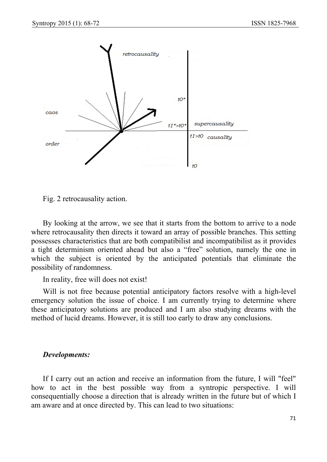

Fig. 2 retrocausality action.

By looking at the arrow, we see that it starts from the bottom to arrive to a node where retrocausality then directs it toward an array of possible branches. This setting possesses characteristics that are both compatibilist and incompatibilist as it provides a tight determinism oriented ahead but also a "free" solution, namely the one in which the subject is oriented by the anticipated potentials that eliminate the possibility of randomness.

In reality, free will does not exist!

Will is not free because potential anticipatory factors resolve with a high-level emergency solution the issue of choice. I am currently trying to determine where these anticipatory solutions are produced and I am also studying dreams with the method of lucid dreams. However, it is still too early to draw any conclusions.

#### *Developments:*

If I carry out an action and receive an information from the future, I will "feel" how to act in the best possible way from a syntropic perspective. I will consequentially choose a direction that is already written in the future but of which I am aware and at once directed by. This can lead to two situations: